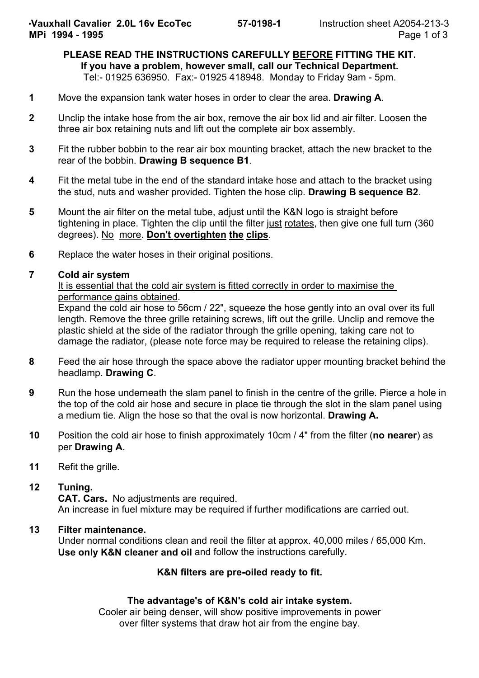#### **PLEASE READ THE INSTRUCTIONS CAREFULLY BEFORE FITTING THE KIT. If you have a problem, however small, call our Technical Department.** Tel:- 01925 636950. Fax:- 01925 418948. Monday to Friday 9am - 5pm.

- **1** Move the expansion tank water hoses in order to clear the area. **Drawing A**.
- **2** Unclip the intake hose from the air box, remove the air box lid and air filter. Loosen the three air box retaining nuts and lift out the complete air box assembly.
- **3** Fit the rubber bobbin to the rear air box mounting bracket, attach the new bracket to the rear of the bobbin. **Drawing B sequence B1**.
- **4** Fit the metal tube in the end of the standard intake hose and attach to the bracket using the stud, nuts and washer provided. Tighten the hose clip. **Drawing B sequence B2**.
- **5** Mount the air filter on the metal tube, adjust until the K&N logo is straight before tightening in place. Tighten the clip until the filter just rotates, then give one full turn (360 degrees). No more. **Don't overtighten the clips**.
- **6** Replace the water hoses in their original positions.

### **7 Cold air system**

### It is essential that the cold air system is fitted correctly in order to maximise the performance gains obtained.

Expand the cold air hose to 56cm / 22", squeeze the hose gently into an oval over its full length. Remove the three grille retaining screws, lift out the grille. Unclip and remove the plastic shield at the side of the radiator through the grille opening, taking care not to damage the radiator, (please note force may be required to release the retaining clips).

- **8** Feed the air hose through the space above the radiator upper mounting bracket behind the headlamp. **Drawing C**.
- **9** Run the hose underneath the slam panel to finish in the centre of the grille. Pierce a hole in the top of the cold air hose and secure in place tie through the slot in the slam panel using a medium tie. Align the hose so that the oval is now horizontal. **Drawing A.**
- **10** Position the cold air hose to finish approximately 10cm / 4" from the filter (**no nearer**) as per **Drawing A**.
- **11** Refit the grille.
- **12 Tuning.**

**CAT. Cars.** No adjustments are required. An increase in fuel mixture may be required if further modifications are carried out.

### **13 Filter maintenance.**

Under normal conditions clean and reoil the filter at approx. 40,000 miles / 65,000 Km. **Use only K&N cleaner and oil** and follow the instructions carefully.

## **K&N filters are pre-oiled ready to fit.**

### **The advantage's of K&N's cold air intake system.**

Cooler air being denser, will show positive improvements in power over filter systems that draw hot air from the engine bay.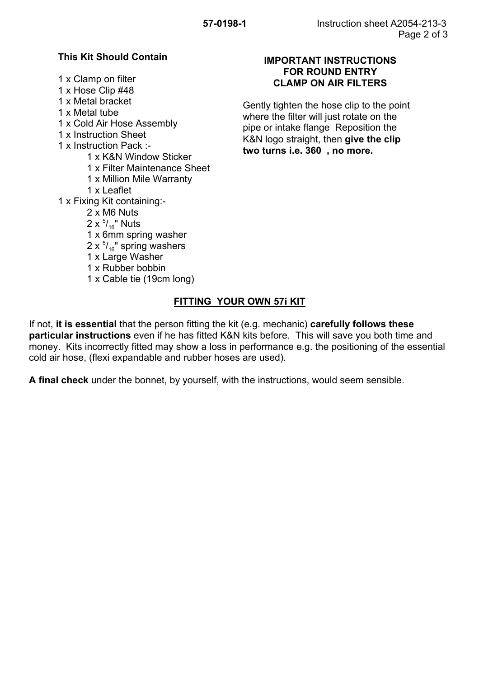## **This Kit Should Contain**

1 x Clamp on filter

- 1 x Hose Clip #48
- 1 x Metal bracket
- 1 x Metal tube
- 1 x Cold Air Hose Assembly
- 1 x Instruction Sheet
- 1 x Instruction Pack :-
	- 1 x K&N Window Sticker
	- 1 x Filter Maintenance Sheet
	- 1 x Million Mile Warranty
	- 1 x Leaflet
- 1 x Fixing Kit containing:-
	- 2 x M6 Nuts
	- 2 x  $^{5\prime}$  / $_{16}^{\prime\prime}$  Nuts
	- 1 x 6mm spring washer
	- 2 x  $^{5\prime}$ <sub>16</sub>" spring washers
	- 1 x Large Washer
	- 1 x Rubber bobbin
	- 1 x Cable tie (19cm long)

### **IMPORTANT INSTRUCTIONS FOR ROUND ENTRY CLAMP ON AIR FILTERS**

Gently tighten the hose clip to the point where the filter will just rotate on the pipe or intake flange Reposition the K&N logo straight, then **give the clip two turns i.e. 360 , no more.**

# **FITTING YOUR OWN 57i KIT**

If not, **it is essential** that the person fitting the kit (e.g. mechanic) **carefully follows these particular instructions** even if he has fitted K&N kits before. This will save you both time and money. Kits incorrectly fitted may show a loss in performance e.g. the positioning of the essential cold air hose, (flexi expandable and rubber hoses are used).

**A final check** under the bonnet, by yourself, with the instructions, would seem sensible.